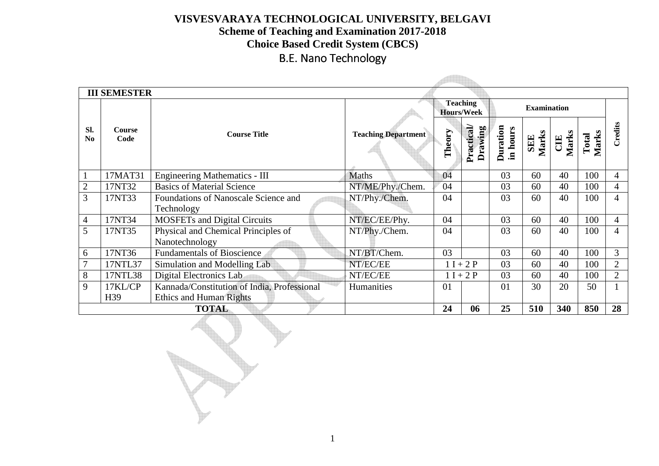**Scheme of Teaching and Examination 2017-2018 Choice Based Credit System (CBCS)** 

## B.E. Nano Technology

**Automobile** 

|                       | <b>III SEMESTER</b>   |                                                    |                            |                                      |                             |                             |              |                     |                |                |
|-----------------------|-----------------------|----------------------------------------------------|----------------------------|--------------------------------------|-----------------------------|-----------------------------|--------------|---------------------|----------------|----------------|
|                       |                       |                                                    |                            | <b>Teaching</b><br><b>Hours/Week</b> |                             | <b>Examination</b>          |              |                     |                |                |
| SI.<br>$\mathbf{N_0}$ | <b>Course</b><br>Code | <b>Course Title</b>                                | <b>Teaching Department</b> | Theory                               | <b>Practical</b><br>Drawing | <b>Duration</b><br>in hours | SEE<br>Marks | <b>CIE</b><br>Marks | Marks<br>Total | Credits        |
|                       | 17MAT31               | <b>Engineering Mathematics - III</b>               | <b>Maths</b>               | 04                                   |                             | 03                          | 60           | 40                  | 100            | $\overline{4}$ |
| 2                     | 17NT32                | <b>Basics of Material Science</b>                  | NT/ME/Phy./Chem.           | 04                                   |                             | 03                          | 60           | 40                  | 100            | $\overline{4}$ |
| 3                     | 17NT33                | Foundations of Nanoscale Science and<br>Technology | NT/Phy./Chem.              | 04                                   |                             | 03                          | 60           | 40                  | 100            | $\overline{4}$ |
| 4                     | 17NT34                | <b>MOSFETs and Digital Circuits</b>                | NT/EC/EE/Phy.              | 04                                   |                             | 03                          | 60           | 40                  | 100            | $\overline{4}$ |
| 5                     | 17NT35                | Physical and Chemical Principles of                | NT/Phy./Chem.              | 04                                   |                             | 03                          | 60           | 40                  | 100            | $\overline{4}$ |
|                       |                       | Nanotechnology                                     |                            |                                      |                             |                             |              |                     |                |                |
| 6                     | 17NT36                | <b>Fundamentals of Bioscience</b>                  | NT/BT/Chem.                | 03                                   |                             | 03                          | 60           | 40                  | 100            | 3              |
|                       | 17NTL37               | Simulation and Modelling Lab                       | NT/EC/EE                   | $1 I + 2 P$                          |                             | 03                          | 60           | 40                  | 100            | $\overline{2}$ |
| 8                     | 17NTL38               | Digital Electronics Lab                            | NT/EC/EE                   | $1 I + 2 P$                          |                             | 03                          | 60           | 40                  | 100            | $\overline{2}$ |
| 9                     | 17KL/CP               | Kannada/Constitution of India, Professional        | Humanities                 | 30<br>01<br>01                       |                             | 20                          | 50           |                     |                |                |
|                       | H39                   | <b>Ethics and Human Rights</b>                     |                            |                                      |                             |                             |              |                     |                |                |
|                       |                       | <b>TOTAL</b>                                       |                            | 24                                   | 06                          | 25                          | 510          | 340                 | 850            | 28             |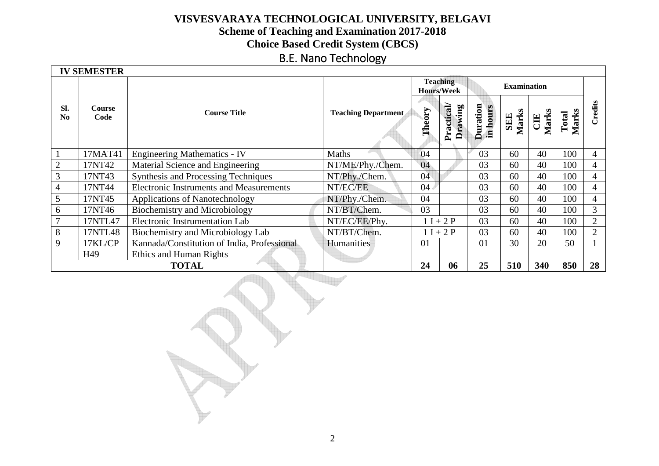# **Scheme of Teaching and Examination 2017-2018 Choice Based Credit System (CBCS)**

### B.E. Nano Technology

|                               | <b>IV SEMESTER</b>                                        |                                                |                            |             |                                      |                             |                    |                     |                |                |
|-------------------------------|-----------------------------------------------------------|------------------------------------------------|----------------------------|-------------|--------------------------------------|-----------------------------|--------------------|---------------------|----------------|----------------|
|                               |                                                           |                                                |                            |             | <b>Teaching</b><br><b>Hours/Week</b> |                             | <b>Examination</b> |                     |                |                |
| Sl.<br>$\mathbf{N}\mathbf{0}$ | Course<br>Code                                            | <b>Course Title</b>                            | <b>Teaching Department</b> | Theory      | Practical<br>Drawing                 | <b>Duration</b><br>in hours | SEE<br>Marks       | <b>CIE</b><br>Marks | Marks<br>Total | Credits        |
|                               | 17MAT41                                                   | <b>Engineering Mathematics - IV</b>            | Maths                      | 04          |                                      | 03                          | 60                 | 40                  | 100            | 4              |
| $\overline{2}$                | 17NT42                                                    | Material Science and Engineering               | NT/ME/Phy./Chem.           | 04          |                                      | 03                          | 60                 | 40                  | 100            | 4              |
| 3                             | 17NT43                                                    | Synthesis and Processing Techniques            | NT/Phy./Chem.              | 04          |                                      | 03                          | 60                 | 40                  | 100            | $\overline{4}$ |
| 4                             | 17NT44                                                    | <b>Electronic Instruments and Measurements</b> | NT/EC/EE                   | 04          |                                      | 03                          | 60                 | 40                  | 100            | $\overline{4}$ |
| 5                             | 17NT45                                                    | Applications of Nanotechnology                 | NT/Phy./Chem.              | 04          |                                      | 03                          | 60                 | 40                  | 100            | 4              |
| 6                             | 17NT46                                                    | Biochemistry and Microbiology                  | NT/BT/Chem.                | 03          |                                      | 03                          | 60                 | 40                  | 100            | $\overline{3}$ |
|                               | 17NTL47                                                   | Electronic Instrumentation Lab                 | NT/EC/EE/Phy.              | $1 I + 2 P$ |                                      | 03                          | 60                 | 40                  | 100            | $\overline{2}$ |
| 8                             | 17NTL48                                                   | Biochemistry and Microbiology Lab              | NT/BT/Chem.                |             | $1 I + 2 P$                          | 03                          | 60                 | 40                  | 100            | $\overline{2}$ |
| 9                             | 17KL/CP                                                   | Kannada/Constitution of India, Professional    | Humanities                 | 01          |                                      | 01                          | 30                 | 20                  | 50             |                |
|                               | H49                                                       | Ethics and Human Rights                        |                            |             |                                      |                             |                    |                     |                |                |
|                               | 25<br>510<br>850<br>28<br>24<br>340<br><b>TOTAL</b><br>06 |                                                |                            |             |                                      |                             |                    |                     |                |                |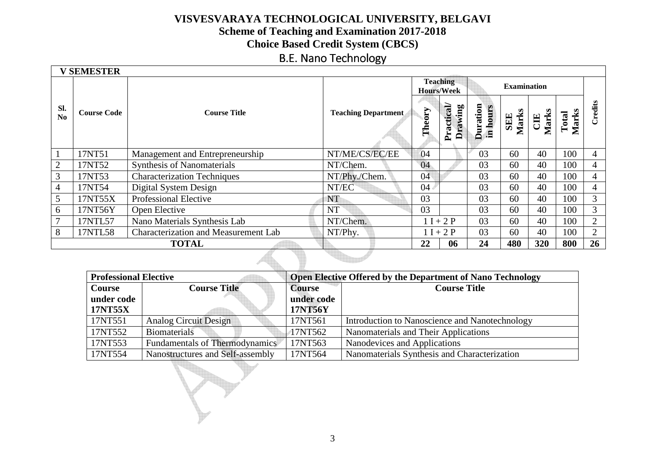# **Scheme of Teaching and Examination 2017-2018 Choice Based Credit System (CBCS)**

### B.E. Nano Technology

|                | <b>V SEMESTER</b>                                         |                                             |                            |             |                                      |                             |              |              |                |                |
|----------------|-----------------------------------------------------------|---------------------------------------------|----------------------------|-------------|--------------------------------------|-----------------------------|--------------|--------------|----------------|----------------|
|                |                                                           |                                             |                            |             | <b>Teaching</b><br><b>Hours/Week</b> | <b>Examination</b>          |              |              |                |                |
| SI.<br>No      | <b>Course Code</b>                                        | <b>Course Title</b>                         | <b>Teaching Department</b> | Theory      | Practical<br>Drawing                 | <b>Duration</b><br>in hours | SEE<br>Marks | Marks<br>CIE | Marks<br>Total | Credits        |
|                | 17NT51                                                    | Management and Entrepreneurship             | NT/ME/CS/EC/EE             | 04          |                                      | 03                          | 60           | 40           | 100            | 4              |
| $\overline{2}$ | 17NT52                                                    | <b>Synthesis of Nanomaterials</b>           | NT/Chem.                   | 04          |                                      | 03                          | 60           | 40           | 100            | 4              |
| 3              | 17NT53                                                    | <b>Characterization Techniques</b>          | NT/Phy./Chem.              | 04          |                                      | 03                          | 60           | 40           | 100            | 4              |
| 4              | 17NT54                                                    | Digital System Design                       | NT/EC                      | 04          |                                      | 03                          | 60           | 40           | 100            | 4              |
| 5              | 17NT55X                                                   | Professional Elective                       | NT                         | 03          |                                      | 03                          | 60           | 40           | 100            | $\overline{3}$ |
| 6              | 17NT56Y                                                   | Open Elective                               | <b>NT</b>                  | 03          |                                      | 03                          | 60           | 40           | 100            | 3              |
| 7              | 17NTL57                                                   | Nano Materials Synthesis Lab                | NT/Chem.                   | $1 I + 2 P$ |                                      | 03                          | 60           | 40           | 100            | $\overline{2}$ |
| 8              | 17NTL58                                                   | <b>Characterization and Measurement Lab</b> | NT/Phy.                    |             | $1 I + 2 P$                          | 03                          | 60           | 40           | 100            | $\overline{2}$ |
|                | 26<br>24<br>22<br>06<br>480<br>320<br>800<br><b>TOTAL</b> |                                             |                            |             |                                      |                             |              |              |                |                |

| <b>Professional Elective</b>         |                                  | <b>Open Elective Offered by the Department of Nano Technology</b> |                                                |  |  |  |  |
|--------------------------------------|----------------------------------|-------------------------------------------------------------------|------------------------------------------------|--|--|--|--|
| <b>Course Title</b><br><b>Course</b> |                                  | <b>Course</b>                                                     | <b>Course Title</b>                            |  |  |  |  |
| under code                           |                                  | under code                                                        |                                                |  |  |  |  |
| <b>17NT55X</b>                       |                                  | 17NT56Y                                                           |                                                |  |  |  |  |
| 17NT551                              | <b>Analog Circuit Design</b>     | 17NT561                                                           | Introduction to Nanoscience and Nanotechnology |  |  |  |  |
| 17NT552                              | Biomaterials                     | 17NT562                                                           | Nanomaterials and Their Applications           |  |  |  |  |
| 17NT553                              | Fundamentals of Thermodynamics   | 17NT563                                                           | Nanodevices and Applications                   |  |  |  |  |
| 17NT554                              | Nanostructures and Self-assembly | 17NT564                                                           | Nanomaterials Synthesis and Characterization   |  |  |  |  |

١

Br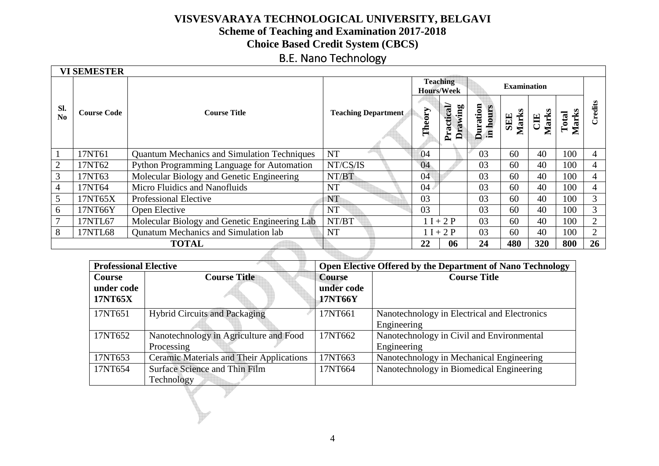# **Scheme of Teaching and Examination 2017-2018 Choice Based Credit System (CBCS)**

### B.E. Nano Technology

|                | <b>VI SEMESTER</b> |                                                                                   |                            | <b>Teaching</b><br><b>Hours/Week</b> |                      |                             | <b>Examination</b>  |                     |                |                |
|----------------|--------------------|-----------------------------------------------------------------------------------|----------------------------|--------------------------------------|----------------------|-----------------------------|---------------------|---------------------|----------------|----------------|
| Sl.<br>No      | <b>Course Code</b> | <b>Course Title</b>                                                               | <b>Teaching Department</b> | Theory                               | Practical<br>Drawing | <b>Duration</b><br>in hours | <b>SEE</b><br>Marks | <b>CIE</b><br>Marks | Marks<br>Total | Credits        |
|                | 17NT61             | <b>Quantum Mechanics and Simulation Techniques</b>                                | <b>NT</b>                  | 04                                   |                      | 03                          | 60                  | 40                  | 100            | 4              |
| $\overline{2}$ | 17NT62             | Python Programming Language for Automation                                        | NT/CS/IS                   | 04                                   |                      | 03                          | 60                  | 40                  | 100            | 4              |
| 3              | 17NT63             | Molecular Biology and Genetic Engineering                                         | NT/BT                      | 04                                   |                      | 03                          | 60                  | 40                  | 100            | 4              |
| $\overline{4}$ | 17NT64             | Micro Fluidics and Nanofluids                                                     | <b>NT</b>                  | 04                                   |                      | 03                          | 60                  | 40                  | 100            | 4              |
| 5              | 17NT65X            | <b>Professional Elective</b>                                                      | NT                         | 03                                   |                      | 03                          | 60                  | 40                  | 100            | 3              |
| 6              | 17NT66Y            | Open Elective                                                                     | <b>NT</b>                  | 03                                   | 03                   |                             | 60                  | 40                  | 100            | $\overline{3}$ |
| $\overline{7}$ | 17NTL67            | NT/BT<br>03<br>$1 I + 2 P$<br>60<br>Molecular Biology and Genetic Engineering Lab |                            |                                      | 40                   | 100                         | $\overline{2}$      |                     |                |                |
| 8              | 17NTL68            | <b>Qunatum Mechanics and Simulation lab</b>                                       | <b>NT</b>                  | $1 I + 2 P$                          |                      | 03                          | 60                  | 40                  | 100            | $\overline{2}$ |
|                |                    | <b>TOTAL</b>                                                                      |                            | 22                                   | 06                   | 24                          | 480                 | 320                 | 800            | 26             |
|                |                    |                                                                                   |                            |                                      |                      |                             |                     |                     |                |                |

| <b>Professional Elective</b> |                                                 | Open Elective Offered by the Department of Nano Technology |                                              |  |  |  |  |
|------------------------------|-------------------------------------------------|------------------------------------------------------------|----------------------------------------------|--|--|--|--|
| <b>Course</b><br>under code  | <b>Course Title</b>                             | <b>Course</b><br>under code                                | <b>Course Title</b>                          |  |  |  |  |
| 17NT65X                      |                                                 | 17NT66Y                                                    |                                              |  |  |  |  |
| 17NT651                      | <b>Hybrid Circuits and Packaging</b>            | 17NT661                                                    | Nanotechnology in Electrical and Electronics |  |  |  |  |
|                              |                                                 |                                                            | Engineering                                  |  |  |  |  |
| 17NT652                      | Nanotechnology in Agriculture and Food          | 17NT662                                                    | Nanotechnology in Civil and Environmental    |  |  |  |  |
|                              | Processing                                      |                                                            | Engineering                                  |  |  |  |  |
| 17NT653                      | <b>Ceramic Materials and Their Applications</b> | 17NT663                                                    | Nanotechnology in Mechanical Engineering     |  |  |  |  |
| 17NT654                      | Surface Science and Thin Film                   | 17NT664                                                    | Nanotechnology in Biomedical Engineering     |  |  |  |  |
|                              | Technology                                      |                                                            |                                              |  |  |  |  |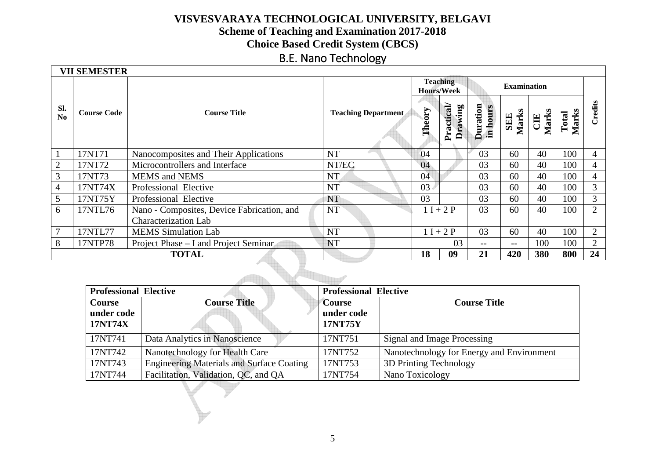# **Scheme of Teaching and Examination 2017-2018 Choice Based Credit System (CBCS)**

## B.E. Nano Technology

|           | <b>VII SEMESTER</b>                              |                                            |                            |                                      |                      |                      |                    |                     |                |                |
|-----------|--------------------------------------------------|--------------------------------------------|----------------------------|--------------------------------------|----------------------|----------------------|--------------------|---------------------|----------------|----------------|
|           |                                                  |                                            |                            | <b>Teaching</b><br><b>Hours/Week</b> |                      |                      | <b>Examination</b> |                     |                |                |
| SI.<br>No | <b>Course Code</b><br><b>Course Title</b>        |                                            | <b>Teaching Department</b> | Theory                               | Practical<br>Drawing | Duration<br>in hours | SEE<br>Marks       | <b>CIE</b><br>Marks | Marks<br>Total | Credits        |
|           | 17NT71                                           | Nanocomposites and Their Applications      | <b>NT</b>                  | 04                                   |                      | 03                   | 60                 | 40                  | 100            | $\overline{4}$ |
| 2         | 17NT72                                           | Microcontrollers and Interface             | NT/EC                      | 04                                   |                      | 03                   | 60                 | 40                  | 100            | 4              |
| 3         | 17NT73                                           | <b>MEMS</b> and <b>NEMS</b>                | <b>NT</b>                  | 04                                   |                      | 03                   | 60                 | 40                  | 100            | 4              |
| 4         | 17NT74X                                          | Professional Elective                      | <b>NT</b>                  | 03                                   |                      | 03                   | 60                 | 40                  | 100            | 3              |
| 5         | 17NT75Y                                          | Professional Elective                      | NT                         | 03                                   |                      | 03                   | 60                 | 40                  | 100            | $\overline{3}$ |
| 6         | 17NTL76                                          | Nano - Composites, Device Fabrication, and | <b>NT</b>                  | $1 I + 2 P$                          |                      | 03                   | 60                 | 40                  | 100            | 2              |
|           |                                                  | <b>Characterization Lab</b>                |                            |                                      |                      |                      |                    |                     |                |                |
|           | 17NTL77                                          | <b>MEMS</b> Simulation Lab                 | <b>NT</b>                  | $1 I + 2 P$                          |                      | 03                   | 60                 | 40                  | 100            | $\overline{2}$ |
| 8         | 17NTP78<br>Project Phase – I and Project Seminar |                                            | <b>NT</b>                  |                                      | 03                   | --                   | $--$               | 100                 | 100            | $\overline{2}$ |
|           |                                                  | <b>TOTAL</b>                               |                            | 18                                   | 09                   | 21                   | 420                | 380                 | 800            | 24             |

| <b>Professional Elective</b>           |                                                  | <b>Professional Elective</b>           |                                           |  |  |  |  |
|----------------------------------------|--------------------------------------------------|----------------------------------------|-------------------------------------------|--|--|--|--|
| <b>Course</b><br>under code<br>17NT74X | <b>Course Title</b>                              | <b>Course</b><br>under code<br>17NT75Y | <b>Course Title</b>                       |  |  |  |  |
| 17NT741                                | Data Analytics in Nanoscience                    | 17NT751                                | Signal and Image Processing               |  |  |  |  |
| 17NT742                                | Nanotechnology for Health Care                   | 17NT752                                | Nanotechnology for Energy and Environment |  |  |  |  |
| 17NT743                                | <b>Engineering Materials and Surface Coating</b> | 17NT753                                | 3D Printing Technology                    |  |  |  |  |
| 17NT744                                | Facilitation, Validation, QC, and QA             | 17NT754                                | Nano Toxicology                           |  |  |  |  |
|                                        |                                                  |                                        |                                           |  |  |  |  |